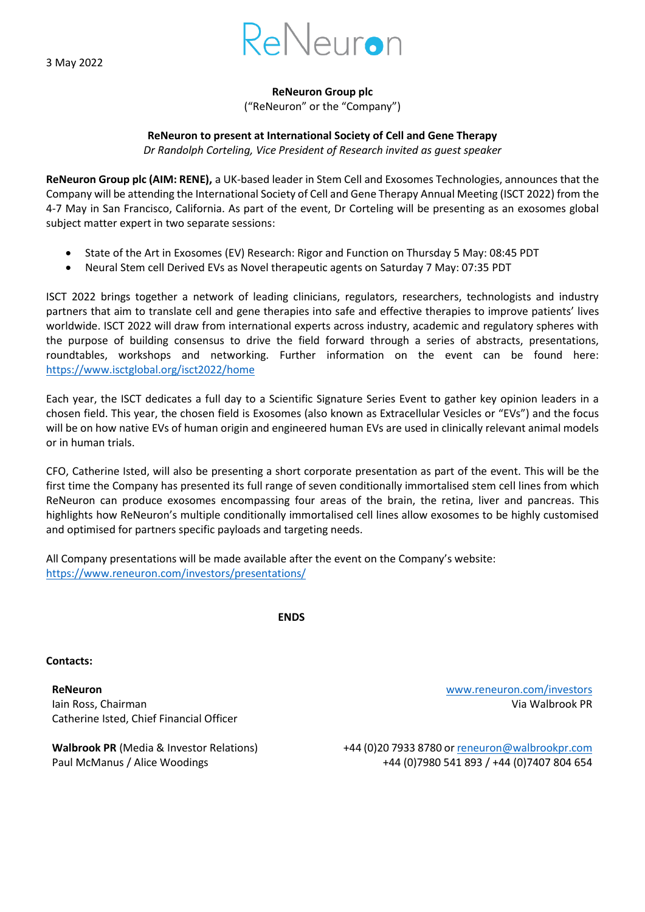3 May 2022



**ReNeuron Group plc**

("ReNeuron" or the "Company")

## **ReNeuron to present at International Society of Cell and Gene Therapy**

*Dr Randolph Corteling, Vice President of Research invited as guest speaker*

**ReNeuron Group plc (AIM: RENE),** a UK-based leader in Stem Cell and Exosomes Technologies, announces that the Company will be attending the International Society of Cell and Gene Therapy Annual Meeting (ISCT 2022) from the 4-7 May in San Francisco, California. As part of the event, Dr Corteling will be presenting as an exosomes global subject matter expert in two separate sessions:

- State of the Art in Exosomes (EV) Research: Rigor and Function on Thursday 5 May: 08:45 PDT
- Neural Stem cell Derived EVs as Novel therapeutic agents on Saturday 7 May: 07:35 PDT

ISCT 2022 brings together a network of leading clinicians, regulators, researchers, technologists and industry partners that aim to translate cell and gene therapies into safe and effective therapies to improve patients' lives worldwide. ISCT 2022 will draw from international experts across industry, academic and regulatory spheres with the purpose of building consensus to drive the field forward through a series of abstracts, presentations, roundtables, workshops and networking. Further information on the event can be found here: <https://www.isctglobal.org/isct2022/home>

Each year, the ISCT dedicates a full day to a Scientific Signature Series Event to gather key opinion leaders in a chosen field. This year, the chosen field is Exosomes (also known as Extracellular Vesicles or "EVs") and the focus will be on how native EVs of human origin and engineered human EVs are used in clinically relevant animal models or in human trials.

CFO, Catherine Isted, will also be presenting a short corporate presentation as part of the event. This will be the first time the Company has presented its full range of seven conditionally immortalised stem cell lines from which ReNeuron can produce exosomes encompassing four areas of the brain, the retina, liver and pancreas. This highlights how ReNeuron's multiple conditionally immortalised cell lines allow exosomes to be highly customised and optimised for partners specific payloads and targeting needs.

All Company presentations will be made available after the event on the Company's website: <https://www.reneuron.com/investors/presentations/>

**ENDS** 

**Contacts:**

**ReNeuron** [www.reneuron.com/investors](http://www.reneuron.com/investors) Iain Ross, Chairman Via Walbrook PR Catherine Isted, Chief Financial Officer

**Walbrook PR** (Media & Investor Relations) +44 (0)20 7933 8780 or [reneuron@walbrookpr.com](mailto:reneuron@walbrookpr.com) Paul McManus / Alice Woodings +44 (0)7980 541 893 / +44 (0)7407 804 654